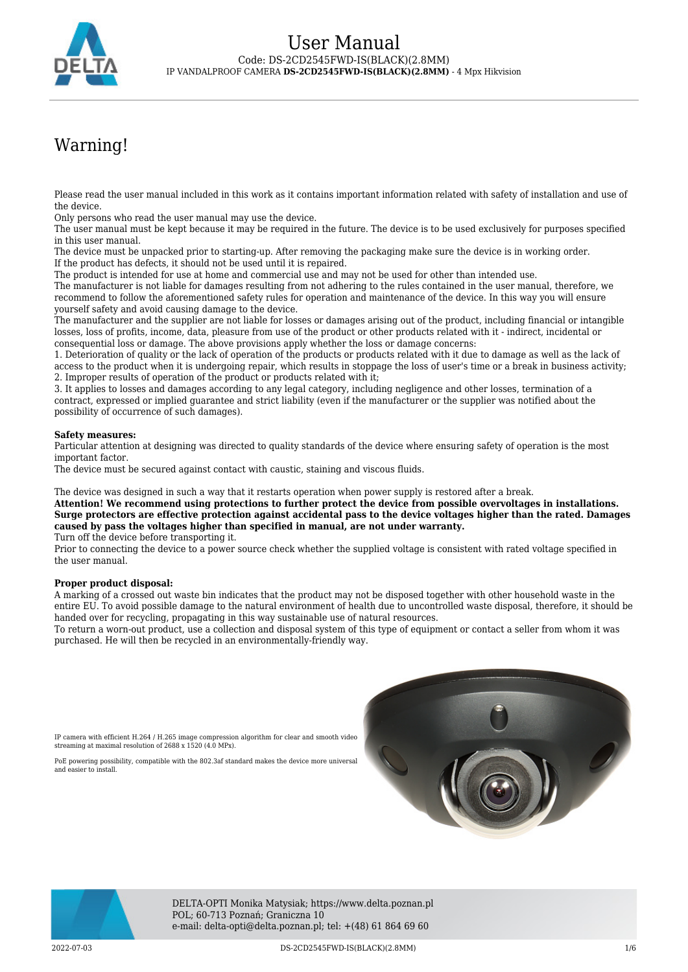

# Warning!

Please read the user manual included in this work as it contains important information related with safety of installation and use of the device.

Only persons who read the user manual may use the device.

The user manual must be kept because it may be required in the future. The device is to be used exclusively for purposes specified in this user manual.

The device must be unpacked prior to starting-up. After removing the packaging make sure the device is in working order. If the product has defects, it should not be used until it is repaired.

The product is intended for use at home and commercial use and may not be used for other than intended use.

The manufacturer is not liable for damages resulting from not adhering to the rules contained in the user manual, therefore, we recommend to follow the aforementioned safety rules for operation and maintenance of the device. In this way you will ensure yourself safety and avoid causing damage to the device.

The manufacturer and the supplier are not liable for losses or damages arising out of the product, including financial or intangible losses, loss of profits, income, data, pleasure from use of the product or other products related with it - indirect, incidental or consequential loss or damage. The above provisions apply whether the loss or damage concerns:

1. Deterioration of quality or the lack of operation of the products or products related with it due to damage as well as the lack of access to the product when it is undergoing repair, which results in stoppage the loss of user's time or a break in business activity; 2. Improper results of operation of the product or products related with it;

3. It applies to losses and damages according to any legal category, including negligence and other losses, termination of a contract, expressed or implied guarantee and strict liability (even if the manufacturer or the supplier was notified about the possibility of occurrence of such damages).

#### **Safety measures:**

Particular attention at designing was directed to quality standards of the device where ensuring safety of operation is the most important factor.

The device must be secured against contact with caustic, staining and viscous fluids.

The device was designed in such a way that it restarts operation when power supply is restored after a break.

**Attention! We recommend using protections to further protect the device from possible overvoltages in installations. Surge protectors are effective protection against accidental pass to the device voltages higher than the rated. Damages caused by pass the voltages higher than specified in manual, are not under warranty.**

Turn off the device before transporting it.

Prior to connecting the device to a power source check whether the supplied voltage is consistent with rated voltage specified in the user manual.

#### **Proper product disposal:**

A marking of a crossed out waste bin indicates that the product may not be disposed together with other household waste in the entire EU. To avoid possible damage to the natural environment of health due to uncontrolled waste disposal, therefore, it should be handed over for recycling, propagating in this way sustainable use of natural resources.

To return a worn-out product, use a collection and disposal system of this type of equipment or contact a seller from whom it was purchased. He will then be recycled in an environmentally-friendly way.

IP camera with efficient H.264 / H.265 image compression algorithm for clear and smooth video streaming at maximal resolution of 2688 x 1520 (4.0 MPx).

PoE powering possibility, compatible with the 802.3af standard makes the device more universal and easier to install.





DELTA-OPTI Monika Matysiak; https://www.delta.poznan.pl POL; 60-713 Poznań; Graniczna 10 e-mail: delta-opti@delta.poznan.pl; tel: +(48) 61 864 69 60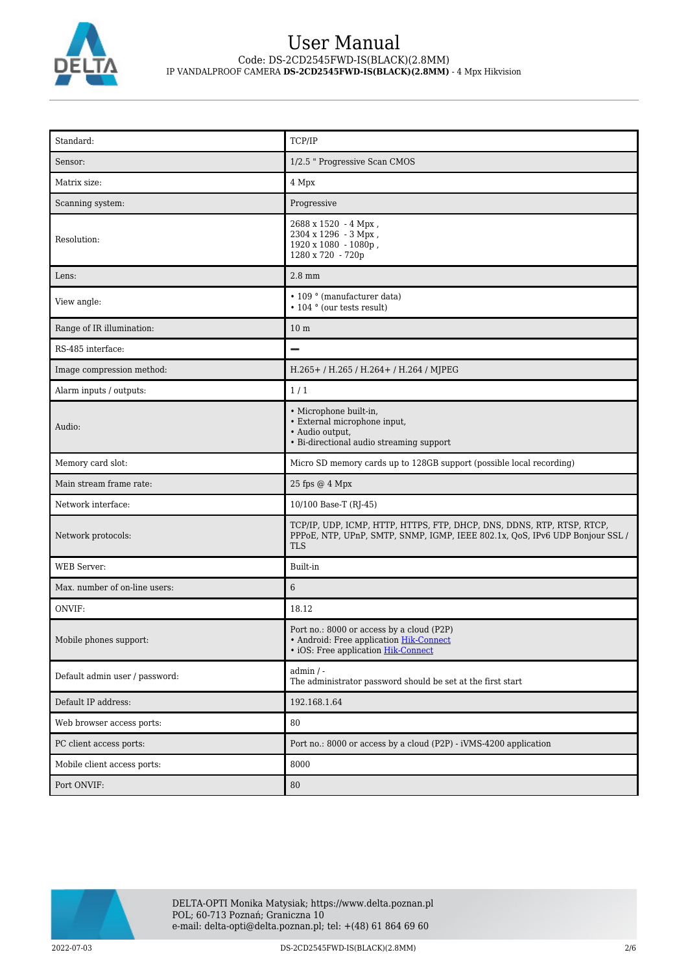

| Standard:                      | TCP/IP                                                                                                                                                               |
|--------------------------------|----------------------------------------------------------------------------------------------------------------------------------------------------------------------|
| Sensor:                        | 1/2.5 " Progressive Scan CMOS                                                                                                                                        |
| Matrix size:                   | 4 Mpx                                                                                                                                                                |
| Scanning system:               | Progressive                                                                                                                                                          |
| Resolution:                    | 2688 x 1520 - 4 Mpx,<br>2304 x 1296 - 3 Mpx,<br>1920 x 1080 - 1080p,<br>1280 x 720 - 720p                                                                            |
| Lens:                          | $2.8$ mm                                                                                                                                                             |
| View angle:                    | • 109 ° (manufacturer data)<br>• 104 ° (our tests result)                                                                                                            |
| Range of IR illumination:      | 10 <sub>m</sub>                                                                                                                                                      |
| RS-485 interface:              | $\overline{\phantom{0}}$                                                                                                                                             |
| Image compression method:      | H.265+/H.265/H.264+/H.264/MJPEG                                                                                                                                      |
| Alarm inputs / outputs:        | 1/1                                                                                                                                                                  |
| Audio:                         | · Microphone built-in,<br>• External microphone input,<br>· Audio output,<br>• Bi-directional audio streaming support                                                |
| Memory card slot:              | Micro SD memory cards up to 128GB support (possible local recording)                                                                                                 |
| Main stream frame rate:        | 25 fps @ 4 Mpx                                                                                                                                                       |
| Network interface:             | 10/100 Base-T (RJ-45)                                                                                                                                                |
| Network protocols:             | TCP/IP, UDP, ICMP, HTTP, HTTPS, FTP, DHCP, DNS, DDNS, RTP, RTSP, RTCP,<br>PPPoE, NTP, UPnP, SMTP, SNMP, IGMP, IEEE 802.1x, QoS, IPv6 UDP Bonjour SSL /<br><b>TLS</b> |
| <b>WEB</b> Server:             | Built-in                                                                                                                                                             |
| Max. number of on-line users:  | 6                                                                                                                                                                    |
| ONVIF:                         | 18.12                                                                                                                                                                |
| Mobile phones support:         | Port no.: 8000 or access by a cloud (P2P)<br>• Android: Free application Hik-Connect<br>· iOS: Free application Hik-Connect                                          |
| Default admin user / password: | $admin / -$<br>The administrator password should be set at the first start                                                                                           |
| Default IP address:            | 192.168.1.64                                                                                                                                                         |
| Web browser access ports:      | 80                                                                                                                                                                   |
| PC client access ports:        | Port no.: 8000 or access by a cloud (P2P) - iVMS-4200 application                                                                                                    |
| Mobile client access ports:    | 8000                                                                                                                                                                 |
| Port ONVIF:                    | 80                                                                                                                                                                   |

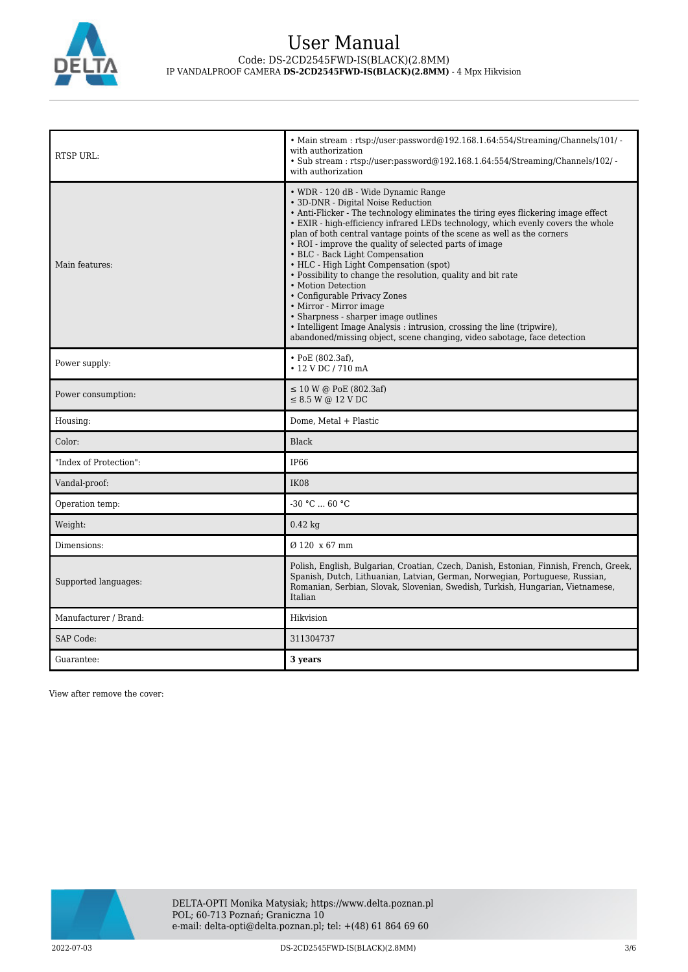

| <b>RTSP URL:</b>       | • Main stream: rtsp://user:password@192.168.1.64:554/Streaming/Channels/101/ -<br>with authorization<br>• Sub stream: rtsp://user.password@192.168.1.64.554/Streaming/Channels/102/ -<br>with authorization                                                                                                                                                                                                                                                                                                                                                                                                                                                                                                                                                                                                           |
|------------------------|-----------------------------------------------------------------------------------------------------------------------------------------------------------------------------------------------------------------------------------------------------------------------------------------------------------------------------------------------------------------------------------------------------------------------------------------------------------------------------------------------------------------------------------------------------------------------------------------------------------------------------------------------------------------------------------------------------------------------------------------------------------------------------------------------------------------------|
| Main features:         | • WDR - 120 dB - Wide Dynamic Range<br>• 3D-DNR - Digital Noise Reduction<br>• Anti-Flicker - The technology eliminates the tiring eyes flickering image effect<br>• EXIR - high-efficiency infrared LEDs technology, which evenly covers the whole<br>plan of both central vantage points of the scene as well as the corners<br>• ROI - improve the quality of selected parts of image<br>• BLC - Back Light Compensation<br>• HLC - High Light Compensation (spot)<br>• Possibility to change the resolution, quality and bit rate<br>• Motion Detection<br>• Configurable Privacy Zones<br>• Mirror - Mirror image<br>• Sharpness - sharper image outlines<br>• Intelligent Image Analysis : intrusion, crossing the line (tripwire),<br>abandoned/missing object, scene changing, video sabotage, face detection |
| Power supply:          | $\cdot$ PoE (802.3af),<br>• 12 V DC / 710 mA                                                                                                                                                                                                                                                                                                                                                                                                                                                                                                                                                                                                                                                                                                                                                                          |
| Power consumption:     | $\leq 10$ W @ PoE (802.3af)<br>$\leq$ 8.5 W @ 12 V DC                                                                                                                                                                                                                                                                                                                                                                                                                                                                                                                                                                                                                                                                                                                                                                 |
| Housing:               | Dome, Metal + Plastic                                                                                                                                                                                                                                                                                                                                                                                                                                                                                                                                                                                                                                                                                                                                                                                                 |
| Color:                 | <b>Black</b>                                                                                                                                                                                                                                                                                                                                                                                                                                                                                                                                                                                                                                                                                                                                                                                                          |
| "Index of Protection": | IP <sub>66</sub>                                                                                                                                                                                                                                                                                                                                                                                                                                                                                                                                                                                                                                                                                                                                                                                                      |
| Vandal-proof:          | <b>IK08</b>                                                                                                                                                                                                                                                                                                                                                                                                                                                                                                                                                                                                                                                                                                                                                                                                           |
| Operation temp:        | $-30 °C$ 60 °C                                                                                                                                                                                                                                                                                                                                                                                                                                                                                                                                                                                                                                                                                                                                                                                                        |
| Weight:                | $0.42$ kg                                                                                                                                                                                                                                                                                                                                                                                                                                                                                                                                                                                                                                                                                                                                                                                                             |
| Dimensions:            | Ø 120 x 67 mm                                                                                                                                                                                                                                                                                                                                                                                                                                                                                                                                                                                                                                                                                                                                                                                                         |
| Supported languages:   | Polish, English, Bulgarian, Croatian, Czech, Danish, Estonian, Finnish, French, Greek,<br>Spanish, Dutch, Lithuanian, Latvian, German, Norwegian, Portuguese, Russian,<br>Romanian, Serbian, Slovak, Slovenian, Swedish, Turkish, Hungarian, Vietnamese,<br>Italian                                                                                                                                                                                                                                                                                                                                                                                                                                                                                                                                                   |
| Manufacturer / Brand:  | Hikvision                                                                                                                                                                                                                                                                                                                                                                                                                                                                                                                                                                                                                                                                                                                                                                                                             |
| <b>SAP Code:</b>       | 311304737                                                                                                                                                                                                                                                                                                                                                                                                                                                                                                                                                                                                                                                                                                                                                                                                             |
| Guarantee:             | 3 years                                                                                                                                                                                                                                                                                                                                                                                                                                                                                                                                                                                                                                                                                                                                                                                                               |

View after remove the cover:

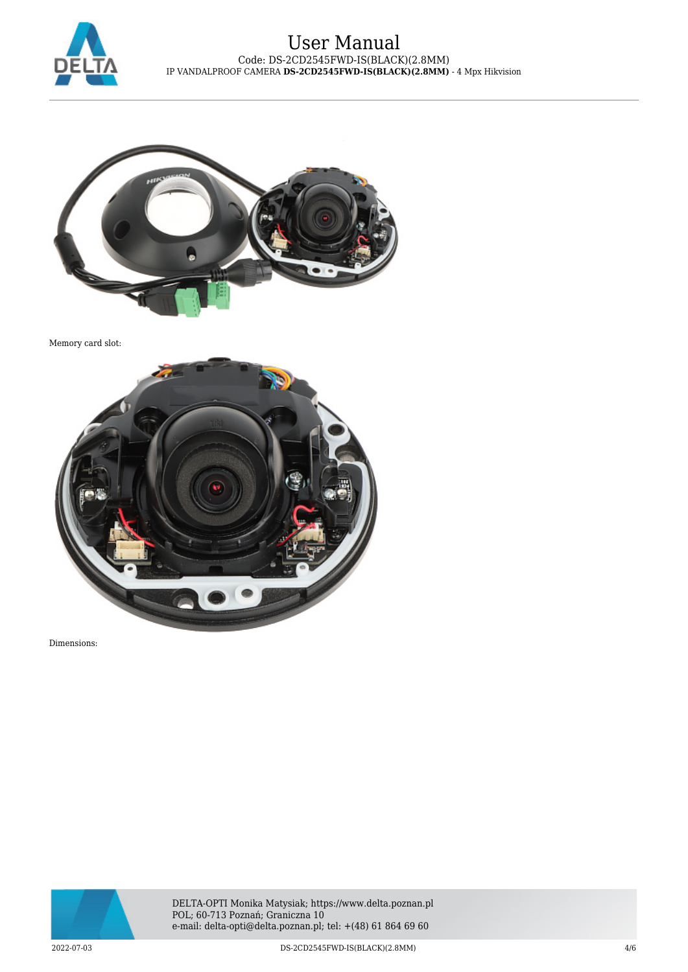



Memory card slot:



Dimensions:

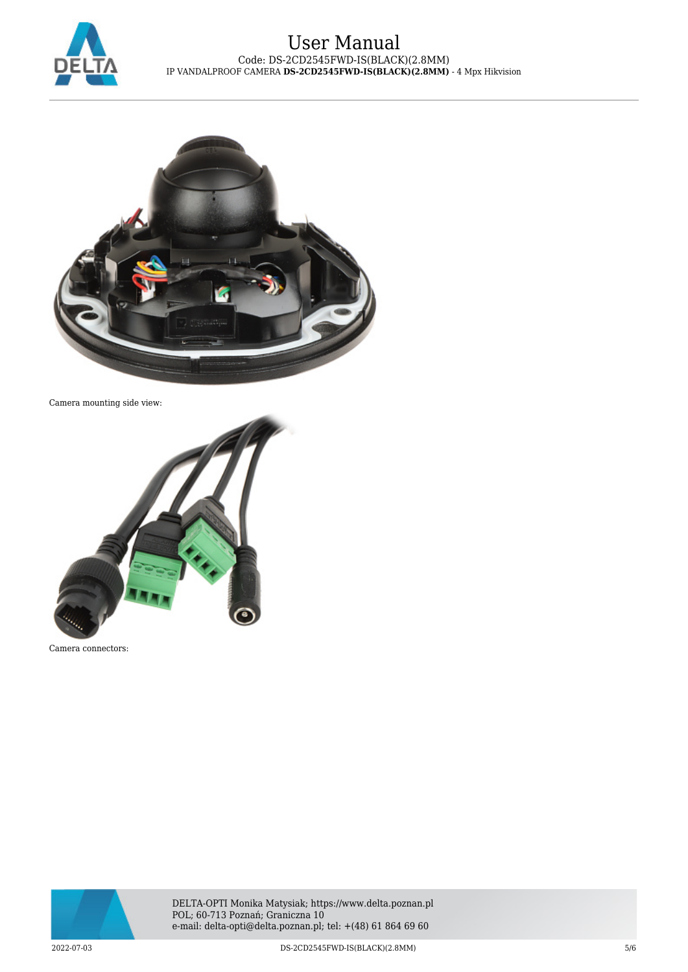



Camera mounting side view:



Camera connectors:



DELTA-OPTI Monika Matysiak; https://www.delta.poznan.pl POL; 60-713 Poznań; Graniczna 10 e-mail: delta-opti@delta.poznan.pl; tel: +(48) 61 864 69 60